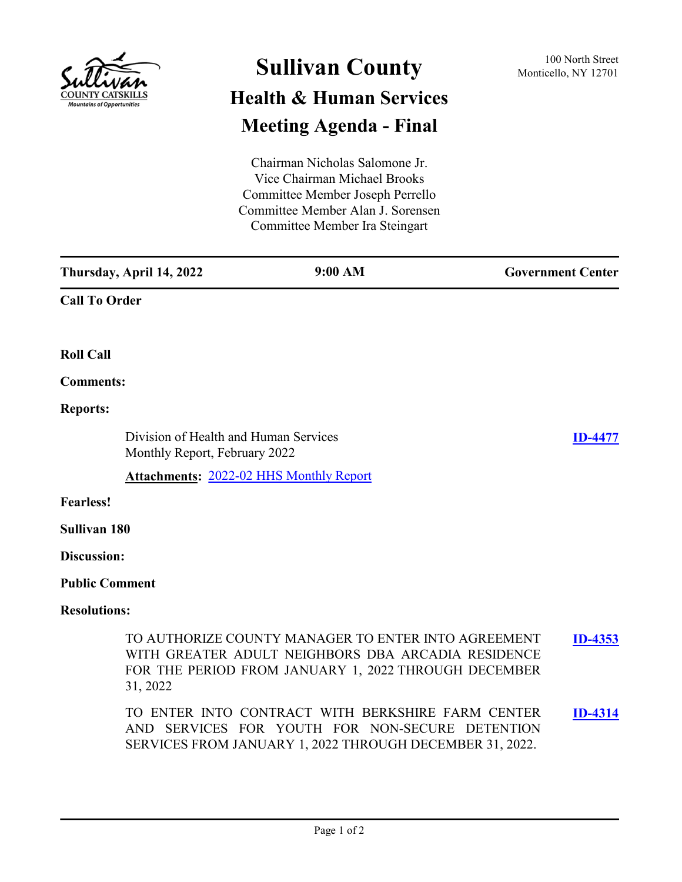

## **Sullivan County** 100 North Street 100 North Street **Health & Human Services Meeting Agenda - Final**

Chairman Nicholas Salomone Jr. Vice Chairman Michael Brooks Committee Member Joseph Perrello Committee Member Alan J. Sorensen Committee Member Ira Steingart